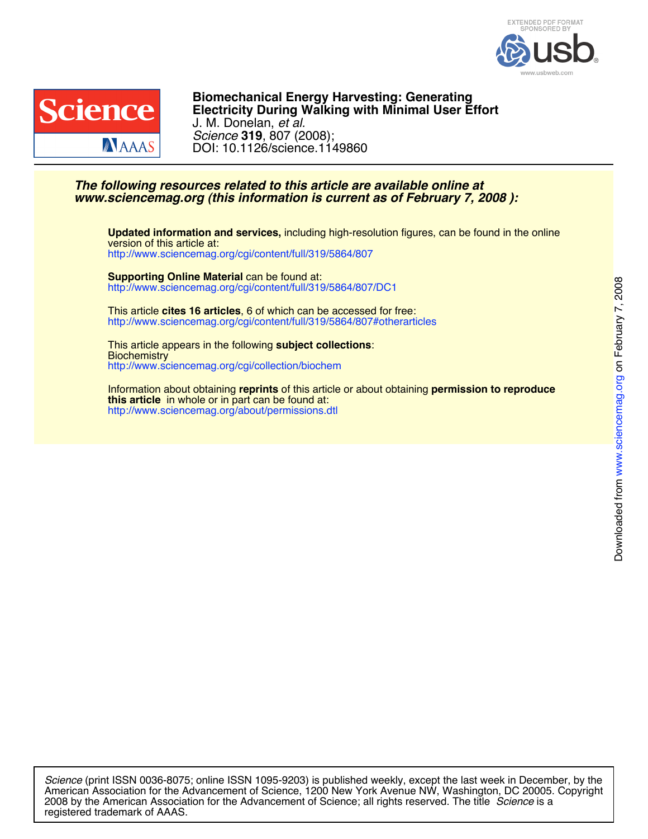



DOI: 10.1126/science.1149860 *Science* **319**, 807 (2008); J. M. Donelan, *et al.* **Electricity During Walking with Minimal User Effort Biomechanical Energy Harvesting: Generating**

## *www.sciencemag.org (this information is current as of February 7, 2008 ): The following resources related to this article are available online at*

<http://www.sciencemag.org/cgi/content/full/319/5864/807> version of this article at: **Updated information and services,** including high-resolution figures, can be found in the online

<http://www.sciencemag.org/cgi/content/full/319/5864/807/DC1> **Supporting Online Material** can be found at:

<http://www.sciencemag.org/cgi/content/full/319/5864/807#otherarticles> This article **cites 16 articles**, 6 of which can be accessed for free:

<http://www.sciencemag.org/cgi/collection/biochem> **Biochemistry** This article appears in the following **subject collections**:

<http://www.sciencemag.org/about/permissions.dtl> **this article** in whole or in part can be found at: Information about obtaining **reprints** of this article or about obtaining **permission to reproduce**

registered trademark of AAAS. 2008 by the American Association for the Advancement of Science; all rights reserved. The title *Science* is a American Association for the Advancement of Science, 1200 New York Avenue NW, Washington, DC 20005. Copyright *Science* (print ISSN 0036-8075; online ISSN 1095-9203) is published weekly, except the last week in December, by the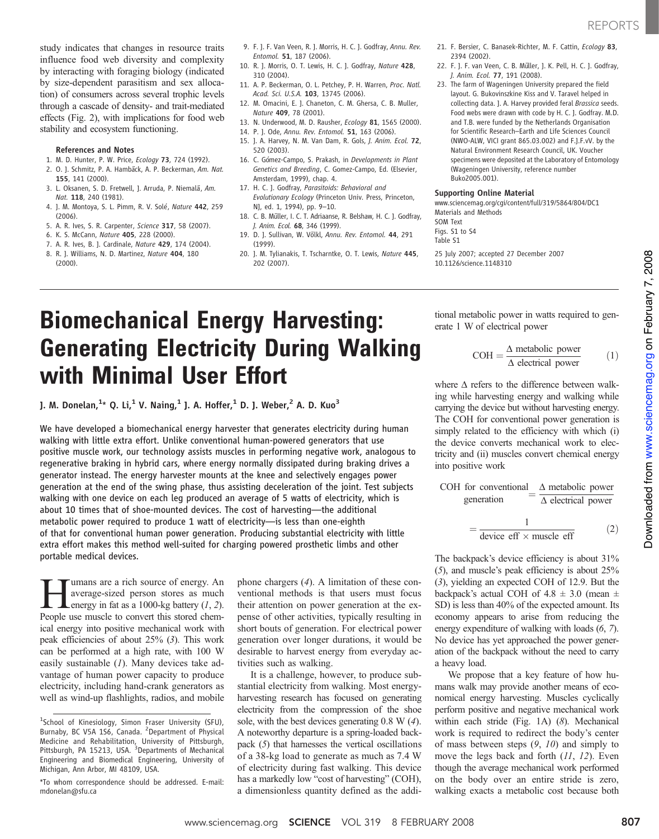study indicates that changes in resource traits influence food web diversity and complexity by interacting with foraging biology (indicated by size-dependent parasitism and sex allocation) of consumers across several trophic levels through a cascade of density- and trait-mediated effects (Fig. 2), with implications for food web stability and ecosystem functioning.

- References and Notes
- 1. M. D. Hunter, P. W. Price, Ecology 73, 724 (1992).
- 2. O. J. Schmitz, P. A. Hambäck, A. P. Beckerman, Am. Nat. 155, 141 (2000).
- 3. L. Oksanen, S. D. Fretwell, J. Arruda, P. Niemalä, Am. Nat. 118, 240 (1981).
- 4. J. M. Montoya, S. L. Pimm, R. V. Solé, Nature 442, 259  $(2006)$
- 5. A. R. Ives, S. R. Carpenter, Science 317, 58 (2007).
- 6. K. S. McCann, Nature 405, 228 (2000).
- 7. A. R. Ives, B. J. Cardinale, Nature 429, 174 (2004).
- 8. R. J. Williams, N. D. Martinez, Nature 404, 180 (2000).
- 9. F. J. F. Van Veen, R. J. Morris, H. C. J. Godfray, Annu. Rev. Entomol. 51, 187 (2006).
- 10. R. J. Morris, O. T. Lewis, H. C. J. Godfray, Nature 428, 310 (2004).
- 11. A. P. Beckerman, O. L. Petchey, P. H. Warren, Proc. Natl. Acad. Sci. U.S.A. 103, 13745 (2006).
- 12. M. Omacini, E. J. Chaneton, C. M. Ghersa, C. B. Muller, Nature 409, 78 (2001).
- 13. N. Underwood, M. D. Rausher, Ecology 81, 1565 (2000).
- 14. P. J. Ode, Annu. Rev. Entomol. 51, 163 (2006).
- 15. J. A. Harvey, N. M. Van Dam, R. Gols, J. Anim. Ecol. 72, 520 (2003).
- 16. C. Gómez-Campo, S. Prakash, in Developments in Plant Genetics and Breeding, C. Gomez-Campo, Ed. (Elsevier, Amsterdam, 1999), chap. 4.
- 17. H. C. J. Godfray, Parasitoids: Behavioral and Evolutionary Ecology (Princeton Univ. Press, Princeton, NJ, ed. 1, 1994), pp. 9–10.
- 18. C. B. Müller, I. C. T. Adriaanse, R. Belshaw, H. C. J. Godfray, J. Anim. Ecol. 68, 346 (1999).
- 19. D. J. Sullivan, W. Völkl, Annu. Rev. Entomol. 44, 291 (1999).
- 20. J. M. Tylianakis, T. Tscharntke, O. T. Lewis, Nature 445, 202 (2007).
- 21. F. Bersier, C. Banasek-Richter, M. F. Cattin, Ecology 83, 2394 (2002).
- 22. F. J. F. van Veen, C. B. Müller, J. K. Pell, H. C. J. Godfray, J. Anim. Ecol. 77, 191 (2008).
- 23. The farm of Wageningen University prepared the field layout. G. Bukovinszkine Kiss and V. Taravel helped in collecting data. J. A. Harvey provided feral Brassica seeds. Food webs were drawn with code by H. C. J. Godfray. M.D. and T.B. were funded by the Netherlands Organisation for Scientific Research–Earth and Life Sciences Council (NWO-ALW, VICI grant 865.03.002) and F.J.F.vV. by the Natural Environment Research Council, UK. Voucher specimens were deposited at the Laboratory of Entomology (Wageningen University, reference number Buko2005.001).

#### Supporting Online Material

www.sciencemag.org/cgi/content/full/319/5864/804/DC1 Materials and Methods SOM Text

Figs. S1 to S4

CO<sub>H</sub>

Table S1

25 July 2007; accepted 27 December 2007 10.1126/science.1148310

# Biomechanical Energy Harvesting: Generating Electricity During Walking with Minimal User Effort

]. M. Donelan, $^{1\star}$  Q. Li, $^{1}$  V. Naing, $^{1}$  J. A. Hoffer, $^{1}$  D. J. Weber, $^{2}$  A. D. Kuo $^{3}$ 

We have developed a biomechanical energy harvester that generates electricity during human walking with little extra effort. Unlike conventional human-powered generators that use positive muscle work, our technology assists muscles in performing negative work, analogous to regenerative braking in hybrid cars, where energy normally dissipated during braking drives a generator instead. The energy harvester mounts at the knee and selectively engages power generation at the end of the swing phase, thus assisting deceleration of the joint. Test subjects walking with one device on each leg produced an average of 5 watts of electricity, which is about 10 times that of shoe-mounted devices. The cost of harvesting—the additional metabolic power required to produce 1 watt of electricity—is less than one-eighth of that for conventional human power generation. Producing substantial electricity with little extra effort makes this method well-suited for charging powered prosthetic limbs and other portable medical devices.

I mans are a rich source of energy. An average-sized person stores as much energy in fat as a 1000-kg battery (1, 2). average-sized person stores as much People use muscle to convert this stored chemical energy into positive mechanical work with peak efficiencies of about 25% (3). This work can be performed at a high rate, with 100 W easily sustainable  $(1)$ . Many devices take advantage of human power capacity to produce electricity, including hand-crank generators as well as wind-up flashlights, radios, and mobile

phone chargers (4). A limitation of these conventional methods is that users must focus their attention on power generation at the expense of other activities, typically resulting in short bouts of generation. For electrical power generation over longer durations, it would be desirable to harvest energy from everyday activities such as walking.

It is a challenge, however, to produce substantial electricity from walking. Most energyharvesting research has focused on generating electricity from the compression of the shoe sole, with the best devices generating 0.8 W (4). A noteworthy departure is a spring-loaded backpack (5) that harnesses the vertical oscillations of a 38-kg load to generate as much as 7.4 W of electricity during fast walking. This device has a markedly low "cost of harvesting" (COH), a dimensionless quantity defined as the addi-

tional metabolic power in watts required to generate 1 W of electrical power

$$
COH = \frac{\Delta \text{ metabolic power}}{\Delta \text{ electrical power}} \tag{1}
$$

where  $\Delta$  refers to the difference between walking while harvesting energy and walking while carrying the device but without harvesting energy. The COH for conventional power generation is simply related to the efficiency with which (i) the device converts mechanical work to electricity and (ii) muscles convert chemical energy into positive work

for conventional = 
$$
\frac{\Delta
$$
 metabolic power  
generation =  $\frac{\Delta}{\Delta}$  electrical power

$$
= \frac{1}{\text{device eff} \times \text{muscle eff}} \tag{2}
$$

The backpack's device efficiency is about 31% (5), and muscle's peak efficiency is about 25% (3), yielding an expected COH of 12.9. But the backpack's actual COH of  $4.8 \pm 3.0$  (mean  $\pm$ SD) is less than 40% of the expected amount. Its economy appears to arise from reducing the energy expenditure of walking with loads (6, 7). No device has yet approached the power generation of the backpack without the need to carry a heavy load.

We propose that a key feature of how humans walk may provide another means of economical energy harvesting. Muscles cyclically perform positive and negative mechanical work within each stride (Fig. 1A) (8). Mechanical work is required to redirect the body's center of mass between steps  $(9, 10)$  and simply to move the legs back and forth  $(11, 12)$ . Even though the average mechanical work performed on the body over an entire stride is zero, walking exacts a metabolic cost because both

<sup>&</sup>lt;sup>1</sup>School of Kinesiology, Simon Fraser University (SFU), Burnaby, BC V5A 1S6, Canada. <sup>2</sup> Department of Physical Medicine and Rehabilitation, University of Pittsburgh, Pittsburgh, PA 15213, USA. <sup>3</sup>Departments of Mechanical Engineering and Biomedical Engineering, University of Michigan, Ann Arbor, MI 48109, USA.

<sup>\*</sup>To whom correspondence should be addressed. E-mail: mdonelan@sfu.ca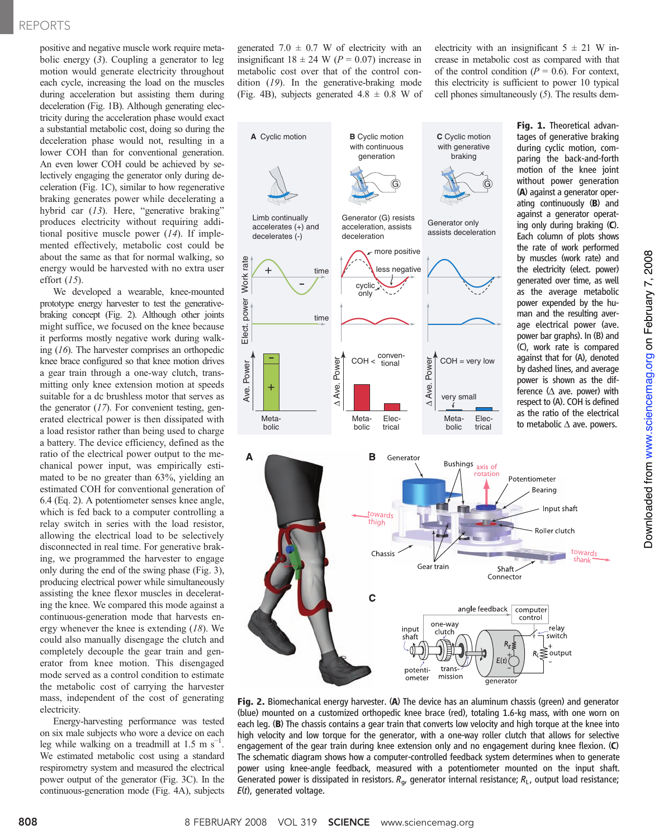### REPORTS

positive and negative muscle work require metabolic energy  $(3)$ . Coupling a generator to leg motion would generate electricity throughout each cycle, increasing the load on the muscles during acceleration but assisting them during deceleration (Fig. 1B). Although generating electricity during the acceleration phase would exact a substantial metabolic cost, doing so during the deceleration phase would not, resulting in a lower COH than for conventional generation. An even lower COH could be achieved by selectively engaging the generator only during deceleration (Fig. 1C), similar to how regenerative braking generates power while decelerating a hybrid car (13). Here, "generative braking" produces electricity without requiring additional positive muscle power  $(14)$ . If implemented effectively, metabolic cost could be about the same as that for normal walking, so energy would be harvested with no extra user effort  $(15)$ .

We developed a wearable, knee-mounted prototype energy harvester to test the generativebraking concept (Fig. 2). Although other joints might suffice, we focused on the knee because it performs mostly negative work during walking (16). The harvester comprises an orthopedic knee brace configured so that knee motion drives a gear train through a one-way clutch, transmitting only knee extension motion at speeds suitable for a dc brushless motor that serves as the generator  $(17)$ . For convenient testing, generated electrical power is then dissipated with a load resistor rather than being used to charge a battery. The device efficiency, defined as the ratio of the electrical power output to the mechanical power input, was empirically estimated to be no greater than 63%, yielding an estimated COH for conventional generation of 6.4 (Eq. 2). A potentiometer senses knee angle, which is fed back to a computer controlling a relay switch in series with the load resistor, allowing the electrical load to be selectively disconnected in real time. For generative braking, we programmed the harvester to engage only during the end of the swing phase (Fig. 3), producing electrical power while simultaneously assisting the knee flexor muscles in decelerating the knee. We compared this mode against a continuous-generation mode that harvests energy whenever the knee is extending (18). We could also manually disengage the clutch and completely decouple the gear train and generator from knee motion. This disengaged mode served as a control condition to estimate the metabolic cost of carrying the harvester mass, independent of the cost of generating electricity.

Energy-harvesting performance was tested on six male subjects who wore a device on each leg while walking on a treadmill at 1.5 m  $s^{-1}$ . We estimated metabolic cost using a standard respirometry system and measured the electrical power output of the generator (Fig. 3C). In the continuous-generation mode (Fig. 4A), subjects generated 7.0  $\pm$  0.7 W of electricity with an insignificant  $18 \pm 24$  W ( $P = 0.07$ ) increase in metabolic cost over that of the control condition (19). In the generative-braking mode (Fig. 4B), subjects generated  $4.8 \pm 0.8$  W of electricity with an insignificant  $5 \pm 21$  W increase in metabolic cost as compared with that of the control condition ( $P = 0.6$ ). For context, this electricity is sufficient to power 10 typical cell phones simultaneously (5). The results dem-



Fig. 2. Biomechanical energy harvester. (A) The device has an aluminum chassis (green) and generator (blue) mounted on a customized orthopedic knee brace (red), totaling 1.6-kg mass, with one worn on each leg. (B) The chassis contains a gear train that converts low velocity and high torque at the knee into high velocity and low torque for the generator, with a one-way roller clutch that allows for selective engagement of the gear train during knee extension only and no engagement during knee flexion. (C) The schematic diagram shows how a computer-controlled feedback system determines when to generate power using knee-angle feedback, measured with a potentiometer mounted on the input shaft. Generated power is dissipated in resistors.  $R_{\alpha}$ , generator internal resistance;  $R_{\rm L}$ , output load resistance;  $E(t)$ , generated voltage.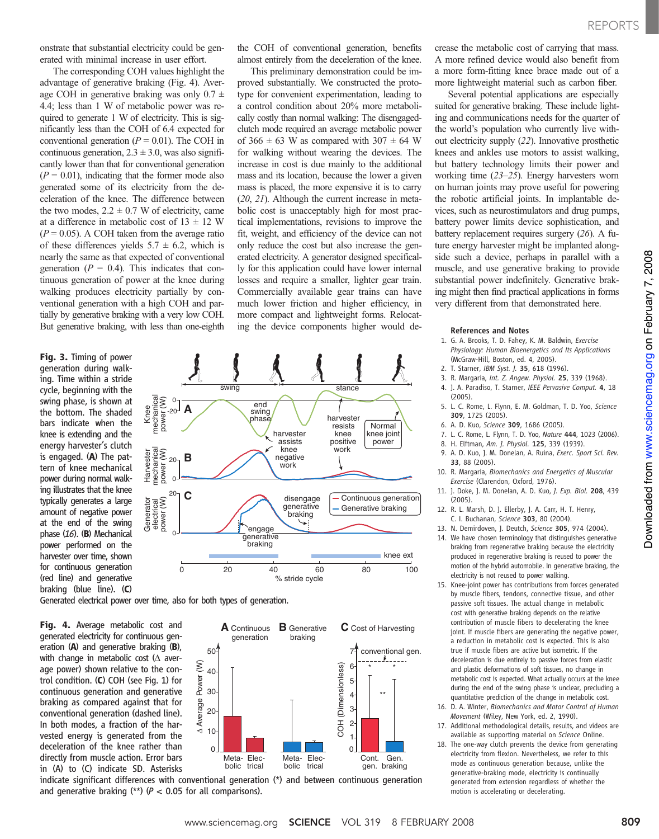onstrate that substantial electricity could be generated with minimal increase in user effort.

The corresponding COH values highlight the advantage of generative braking (Fig. 4). Average COH in generative braking was only  $0.7 \pm$ 4.4; less than 1 W of metabolic power was required to generate 1 W of electricity. This is significantly less than the COH of 6.4 expected for conventional generation ( $P = 0.01$ ). The COH in continuous generation,  $2.3 \pm 3.0$ , was also significantly lower than that for conventional generation  $(P = 0.01)$ , indicating that the former mode also generated some of its electricity from the deceleration of the knee. The difference between the two modes,  $2.2 \pm 0.7$  W of electricity, came at a difference in metabolic cost of  $13 \pm 12$  W  $(P = 0.05)$ . A COH taken from the average ratio of these differences yields  $5.7 \pm 6.2$ , which is nearly the same as that expected of conventional generation ( $P = 0.4$ ). This indicates that continuous generation of power at the knee during walking produces electricity partially by conventional generation with a high COH and partially by generative braking with a very low COH. But generative braking, with less than one-eighth

Fig. 3. Timing of power generation during walking. Time within a stride cycle, beginning with the swing phase, is shown at the bottom. The shaded bars indicate when the knee is extending and the energy harvester's clutch is engaged. (A) The pattern of knee mechanical power during normal walking illustrates that the knee typically generates a large amount of negative power at the end of the swing phase (16). (B) Mechanical power performed on the harvester over time, shown for continuous generation (red line) and generative braking (blue line). (C)



type for convenient experimentation, leading to a control condition about 20% more metabolically costly than normal walking: The disengagedclutch mode required an average metabolic power of 366  $\pm$  63 W as compared with 307  $\pm$  64 W for walking without wearing the devices. The increase in cost is due mainly to the additional mass and its location, because the lower a given mass is placed, the more expensive it is to carry (20, 21). Although the current increase in metabolic cost is unacceptably high for most practical implementations, revisions to improve the fit, weight, and efficiency of the device can not only reduce the cost but also increase the generated electricity. A generator designed specifically for this application could have lower internal losses and require a smaller, lighter gear train. Commercially available gear trains can have much lower friction and higher efficiency, in more compact and lightweight forms. Relocating the device components higher would de-

Generated electrical power over time, also for both types of generation.

Fig. 4. Average metabolic cost and generated electricity for continuous generation (A) and generative braking (B), with change in metabolic cost  $(\Delta$  average power) shown relative to the control condition. (C) COH (see Fig. 1) for continuous generation and generative braking as compared against that for conventional generation (dashed line). In both modes, a fraction of the harvested energy is generated from the deceleration of the knee rather than directly from muscle action. Error bars in (A) to (C) indicate SD. Asterisks



indicate significant differences with conventional generation (\*) and between continuous generation and generative braking  $(**)$  ( $P < 0.05$  for all comparisons).

the COH of conventional generation, benefits almost entirely from the deceleration of the knee. This preliminary demonstration could be improved substantially. We constructed the protocrease the metabolic cost of carrying that mass. A more refined device would also benefit from a more form-fitting knee brace made out of a more lightweight material such as carbon fiber.

> Several potential applications are especially suited for generative braking. These include lighting and communications needs for the quarter of the world's population who currently live without electricity supply (22). Innovative prosthetic knees and ankles use motors to assist walking, but battery technology limits their power and working time (23–25). Energy harvesters worn on human joints may prove useful for powering the robotic artificial joints. In implantable devices, such as neurostimulators and drug pumps, battery power limits device sophistication, and battery replacement requires surgery (26). A future energy harvester might be implanted alongside such a device, perhaps in parallel with a muscle, and use generative braking to provide substantial power indefinitely. Generative braking might then find practical applications in forms very different from that demonstrated here.

#### References and Notes

- 1. G. A. Brooks, T. D. Fahey, K. M. Baldwin, Exercise Physiology: Human Bioenergetics and Its Applications (McGraw-Hill, Boston, ed. 4, 2005).
- 2. T. Starner, IBM Syst. J. 35, 618 (1996).
- 3. R. Margaria, Int. Z. Angew. Physiol. 25, 339 (1968). 4. J. A. Paradiso, T. Starner, IEEE Pervasive Comput. 4, 18
- (2005).
- 5. L. C. Rome, L. Flynn, E. M. Goldman, T. D. Yoo, Science 309, 1725 (2005).
- 6. A. D. Kuo, Science 309, 1686 (2005).
- 7. L. C. Rome, L. Flynn, T. D. Yoo, Nature 444, 1023 (2006).
- 8. H. Elftman, Am. J. Physiol. 125, 339 (1939).
- 9. A. D. Kuo, J. M. Donelan, A. Ruina, Exerc. Sport Sci. Rev. 33, 88 (2005).
- 10. R. Margaria, Biomechanics and Energetics of Muscular Exercise (Clarendon, Oxford, 1976).
- 11. J. Doke, J. M. Donelan, A. D. Kuo, J. Exp. Biol. 208, 439 (2005).
- 12. R. L. Marsh, D. J. Ellerby, J. A. Carr, H. T. Henry, C. I. Buchanan, Science 303, 80 (2004).
- 13. N. Demirdoven, J. Deutch, Science 305, 974 (2004).
- 14. We have chosen terminology that distinguishes generative braking from regenerative braking because the electricity produced in regenerative braking is reused to power the motion of the hybrid automobile. In generative braking, the electricity is not reused to power walking.
- 15. Knee-joint power has contributions from forces generated by muscle fibers, tendons, connective tissue, and other passive soft tissues. The actual change in metabolic cost with generative braking depends on the relative contribution of muscle fibers to decelerating the knee joint. If muscle fibers are generating the negative power, a reduction in metabolic cost is expected. This is also true if muscle fibers are active but isometric. If the deceleration is due entirely to passive forces from elastic and plastic deformations of soft tissues, no change in metabolic cost is expected. What actually occurs at the knee during the end of the swing phase is unclear, precluding a quantitative prediction of the change in metabolic cost.
- 16. D. A. Winter, Biomechanics and Motor Control of Human Movement (Wiley, New York, ed. 2, 1990).
- 17. Additional methodological details, results, and videos are available as supporting material on Science Online.
- 18. The one-way clutch prevents the device from generating electricity from flexion. Nevertheless, we refer to this mode as continuous generation because, unlike the generative-braking mode, electricity is continually generated from extension regardless of whether the motion is accelerating or decelerating.